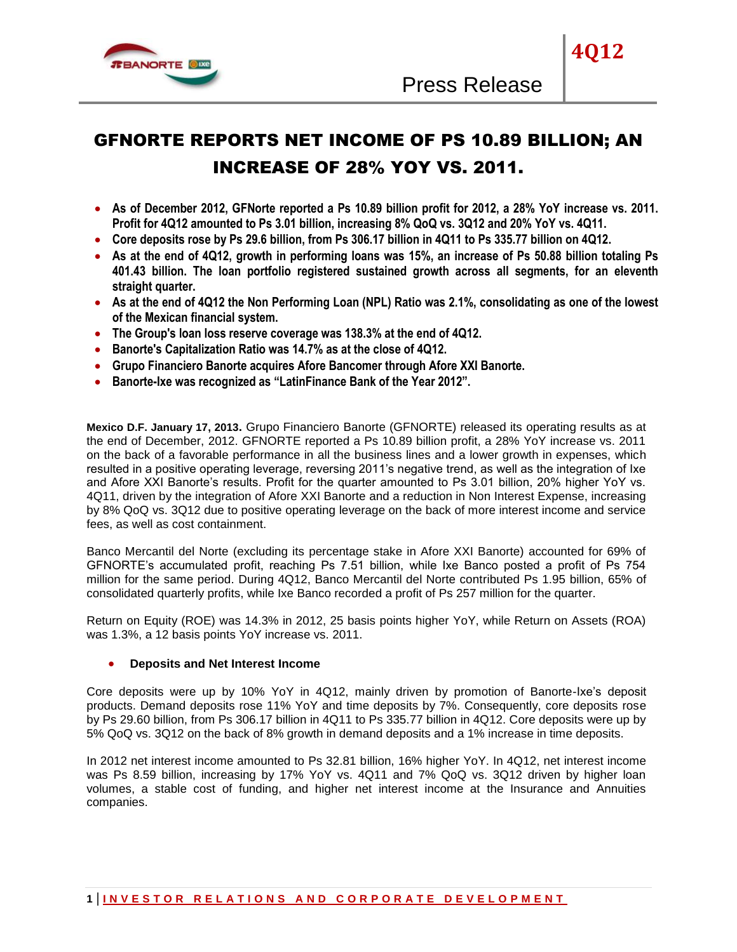

# GFNORTE REPORTS NET INCOME OF PS 10.89 BILLION; AN INCREASE OF 28% YOY VS. 2011.

- **As of December 2012, GFNorte reported a Ps 10.89 billion profit for 2012, a 28% YoY increase vs. 2011. Profit for 4Q12 amounted to Ps 3.01 billion, increasing 8% QoQ vs. 3Q12 and 20% YoY vs. 4Q11.**
- **Core deposits rose by Ps 29.6 billion, from Ps 306.17 billion in 4Q11 to Ps 335.77 billion on 4Q12.**
- **As at the end of 4Q12, growth in performing loans was 15%, an increase of Ps 50.88 billion totaling Ps 401.43 billion. The loan portfolio registered sustained growth across all segments, for an eleventh straight quarter.**
- **As at the end of 4Q12 the Non Performing Loan (NPL) Ratio was 2.1%, consolidating as one of the lowest of the Mexican financial system.**
- **The Group's loan loss reserve coverage was 138.3% at the end of 4Q12.**
- **Banorte's Capitalization Ratio was 14.7% as at the close of 4Q12.**
- **Grupo Financiero Banorte acquires Afore Bancomer through Afore XXI Banorte.**
- **Banorte-Ixe was recognized as "LatinFinance Bank of the Year 2012".**

**Mexico D.F. January 17, 2013.** Grupo Financiero Banorte (GFNORTE) released its operating results as at the end of December, 2012. GFNORTE reported a Ps 10.89 billion profit, a 28% YoY increase vs. 2011 on the back of a favorable performance in all the business lines and a lower growth in expenses, which resulted in a positive operating leverage, reversing 2011's negative trend, as well as the integration of Ixe and Afore XXI Banorte's results. Profit for the quarter amounted to Ps 3.01 billion, 20% higher YoY vs. 4Q11, driven by the integration of Afore XXI Banorte and a reduction in Non Interest Expense, increasing by 8% QoQ vs. 3Q12 due to positive operating leverage on the back of more interest income and service fees, as well as cost containment.

Banco Mercantil del Norte (excluding its percentage stake in Afore XXI Banorte) accounted for 69% of GFNORTE's accumulated profit, reaching Ps 7.51 billion, while Ixe Banco posted a profit of Ps 754 million for the same period. During 4Q12, Banco Mercantil del Norte contributed Ps 1.95 billion, 65% of consolidated quarterly profits, while Ixe Banco recorded a profit of Ps 257 million for the quarter.

Return on Equity (ROE) was 14.3% in 2012, 25 basis points higher YoY, while Return on Assets (ROA) was 1.3%, a 12 basis points YoY increase vs. 2011.

#### **Deposits and Net Interest Income**

Core deposits were up by 10% YoY in 4Q12, mainly driven by promotion of Banorte-Ixe's deposit products. Demand deposits rose 11% YoY and time deposits by 7%. Consequently, core deposits rose by Ps 29.60 billion, from Ps 306.17 billion in 4Q11 to Ps 335.77 billion in 4Q12. Core deposits were up by 5% QoQ vs. 3Q12 on the back of 8% growth in demand deposits and a 1% increase in time deposits.

In 2012 net interest income amounted to Ps 32.81 billion, 16% higher YoY. In 4Q12, net interest income was Ps 8.59 billion, increasing by 17% YoY vs. 4Q11 and 7% QoQ vs. 3Q12 driven by higher loan volumes, a stable cost of funding, and higher net interest income at the Insurance and Annuities companies.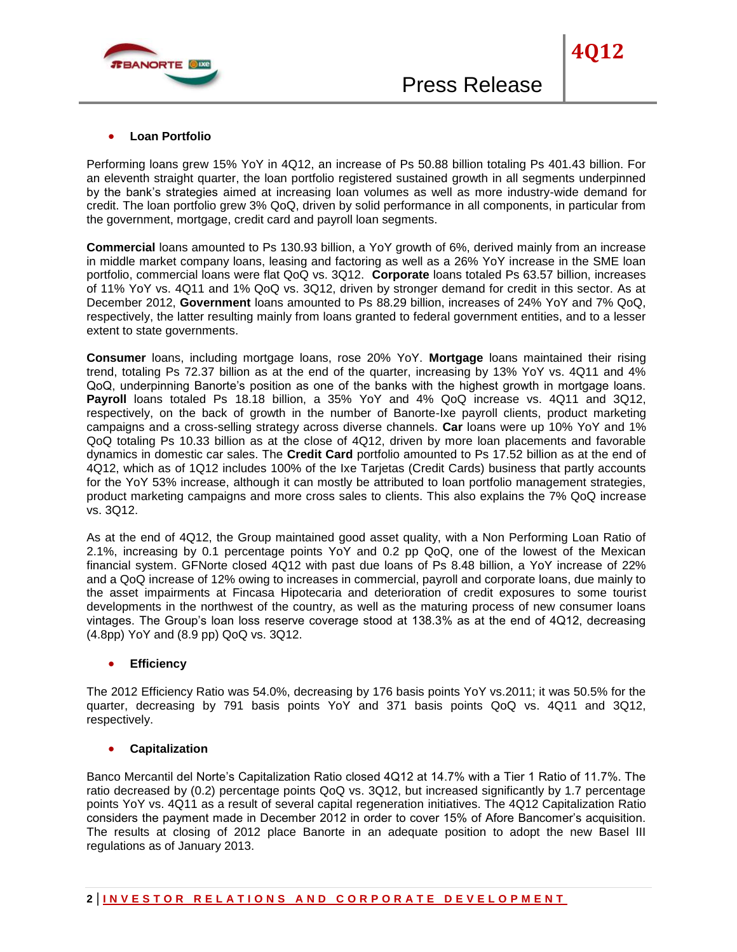

### **Loan Portfolio**

Performing loans grew 15% YoY in 4Q12, an increase of Ps 50.88 billion totaling Ps 401.43 billion. For an eleventh straight quarter, the loan portfolio registered sustained growth in all segments underpinned by the bank's strategies aimed at increasing loan volumes as well as more industry-wide demand for credit. The loan portfolio grew 3% QoQ, driven by solid performance in all components, in particular from the government, mortgage, credit card and payroll loan segments.

**Commercial** loans amounted to Ps 130.93 billion, a YoY growth of 6%, derived mainly from an increase in middle market company loans, leasing and factoring as well as a 26% YoY increase in the SME loan portfolio, commercial loans were flat QoQ vs. 3Q12. **Corporate** loans totaled Ps 63.57 billion, increases of 11% YoY vs. 4Q11 and 1% QoQ vs. 3Q12, driven by stronger demand for credit in this sector. As at December 2012, **Government** loans amounted to Ps 88.29 billion, increases of 24% YoY and 7% QoQ, respectively, the latter resulting mainly from loans granted to federal government entities, and to a lesser extent to state governments.

**Consumer** loans, including mortgage loans, rose 20% YoY. **Mortgage** loans maintained their rising trend, totaling Ps 72.37 billion as at the end of the quarter, increasing by 13% YoY vs. 4Q11 and 4% QoQ, underpinning Banorte's position as one of the banks with the highest growth in mortgage loans. **Payroll** loans totaled Ps 18.18 billion, a 35% YoY and 4% QoQ increase vs. 4Q11 and 3Q12, respectively, on the back of growth in the number of Banorte-Ixe payroll clients, product marketing campaigns and a cross-selling strategy across diverse channels. **Car** loans were up 10% YoY and 1% QoQ totaling Ps 10.33 billion as at the close of 4Q12, driven by more loan placements and favorable dynamics in domestic car sales. The **Credit Card** portfolio amounted to Ps 17.52 billion as at the end of 4Q12, which as of 1Q12 includes 100% of the Ixe Tarjetas (Credit Cards) business that partly accounts for the YoY 53% increase, although it can mostly be attributed to loan portfolio management strategies, product marketing campaigns and more cross sales to clients. This also explains the 7% QoQ increase vs. 3Q12.

As at the end of 4Q12, the Group maintained good asset quality, with a Non Performing Loan Ratio of 2.1%, increasing by 0.1 percentage points YoY and 0.2 pp QoQ, one of the lowest of the Mexican financial system. GFNorte closed 4Q12 with past due loans of Ps 8.48 billion, a YoY increase of 22% and a QoQ increase of 12% owing to increases in commercial, payroll and corporate loans, due mainly to the asset impairments at Fincasa Hipotecaria and deterioration of credit exposures to some tourist developments in the northwest of the country, as well as the maturing process of new consumer loans vintages. The Group's loan loss reserve coverage stood at 138.3% as at the end of 4Q12, decreasing (4.8pp) YoY and (8.9 pp) QoQ vs. 3Q12.

#### **Efficiency**

The 2012 Efficiency Ratio was 54.0%, decreasing by 176 basis points YoY vs.2011; it was 50.5% for the quarter, decreasing by 791 basis points YoY and 371 basis points QoQ vs. 4Q11 and 3Q12, respectively.

#### **Capitalization**

Banco Mercantil del Norte's Capitalization Ratio closed 4Q12 at 14.7% with a Tier 1 Ratio of 11.7%. The ratio decreased by (0.2) percentage points QoQ vs. 3Q12, but increased significantly by 1.7 percentage points YoY vs. 4Q11 as a result of several capital regeneration initiatives. The 4Q12 Capitalization Ratio considers the payment made in December 2012 in order to cover 15% of Afore Bancomer's acquisition. The results at closing of 2012 place Banorte in an adequate position to adopt the new Basel III regulations as of January 2013.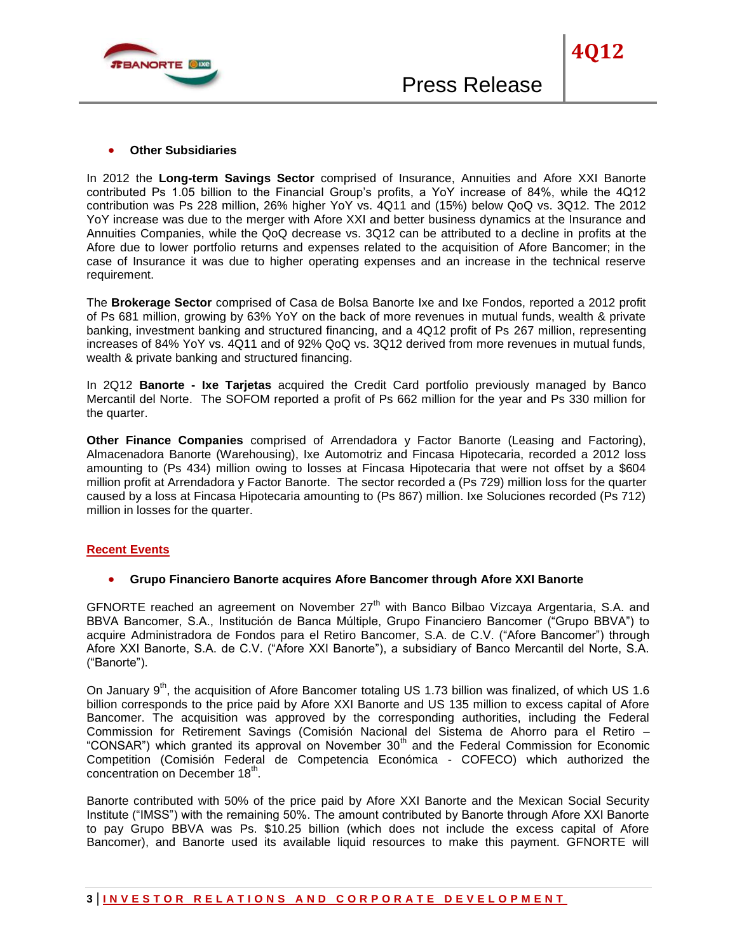

In 2012 the **Long-term Savings Sector** comprised of Insurance, Annuities and Afore XXI Banorte contributed Ps 1.05 billion to the Financial Group's profits, a YoY increase of 84%, while the 4Q12 contribution was Ps 228 million, 26% higher YoY vs. 4Q11 and (15%) below QoQ vs. 3Q12. The 2012 YoY increase was due to the merger with Afore XXI and better business dynamics at the Insurance and Annuities Companies, while the QoQ decrease vs. 3Q12 can be attributed to a decline in profits at the Afore due to lower portfolio returns and expenses related to the acquisition of Afore Bancomer; in the case of Insurance it was due to higher operating expenses and an increase in the technical reserve requirement.

The **Brokerage Sector** comprised of Casa de Bolsa Banorte Ixe and Ixe Fondos, reported a 2012 profit of Ps 681 million, growing by 63% YoY on the back of more revenues in mutual funds, wealth & private banking, investment banking and structured financing, and a 4Q12 profit of Ps 267 million, representing increases of 84% YoY vs. 4Q11 and of 92% QoQ vs. 3Q12 derived from more revenues in mutual funds, wealth & private banking and structured financing.

In 2Q12 **Banorte - Ixe Tarjetas** acquired the Credit Card portfolio previously managed by Banco Mercantil del Norte. The SOFOM reported a profit of Ps 662 million for the year and Ps 330 million for the quarter.

**Other Finance Companies** comprised of Arrendadora y Factor Banorte (Leasing and Factoring), Almacenadora Banorte (Warehousing), Ixe Automotriz and Fincasa Hipotecaria, recorded a 2012 loss amounting to (Ps 434) million owing to losses at Fincasa Hipotecaria that were not offset by a \$604 million profit at Arrendadora y Factor Banorte. The sector recorded a (Ps 729) million loss for the quarter caused by a loss at Fincasa Hipotecaria amounting to (Ps 867) million. Ixe Soluciones recorded (Ps 712) million in losses for the quarter.

# **Recent Events**

## **Grupo Financiero Banorte acquires Afore Bancomer through Afore XXI Banorte**

GFNORTE reached an agreement on November  $27<sup>th</sup>$  with Banco Bilbao Vizcaya Argentaria, S.A. and BBVA Bancomer, S.A., Institución de Banca Múltiple, Grupo Financiero Bancomer ("Grupo BBVA") to acquire Administradora de Fondos para el Retiro Bancomer, S.A. de C.V. ("Afore Bancomer") through Afore XXI Banorte, S.A. de C.V. ("Afore XXI Banorte"), a subsidiary of Banco Mercantil del Norte, S.A. ("Banorte").

On January 9<sup>th</sup>, the acquisition of Afore Bancomer totaling US 1.73 billion was finalized, of which US 1.6 billion corresponds to the price paid by Afore XXI Banorte and US 135 million to excess capital of Afore Bancomer. The acquisition was approved by the corresponding authorities, including the Federal Commission for Retirement Savings (Comisión Nacional del Sistema de Ahorro para el Retiro – "CONSAR") which granted its approval on November 30<sup>th</sup> and the Federal Commission for Economic Competition (Comisión Federal de Competencia Económica - COFECO) which authorized the concentration on December 18<sup>th</sup>.

Banorte contributed with 50% of the price paid by Afore XXI Banorte and the Mexican Social Security Institute ("IMSS") with the remaining 50%. The amount contributed by Banorte through Afore XXI Banorte to pay Grupo BBVA was Ps. \$10.25 billion (which does not include the excess capital of Afore Bancomer), and Banorte used its available liquid resources to make this payment. GFNORTE will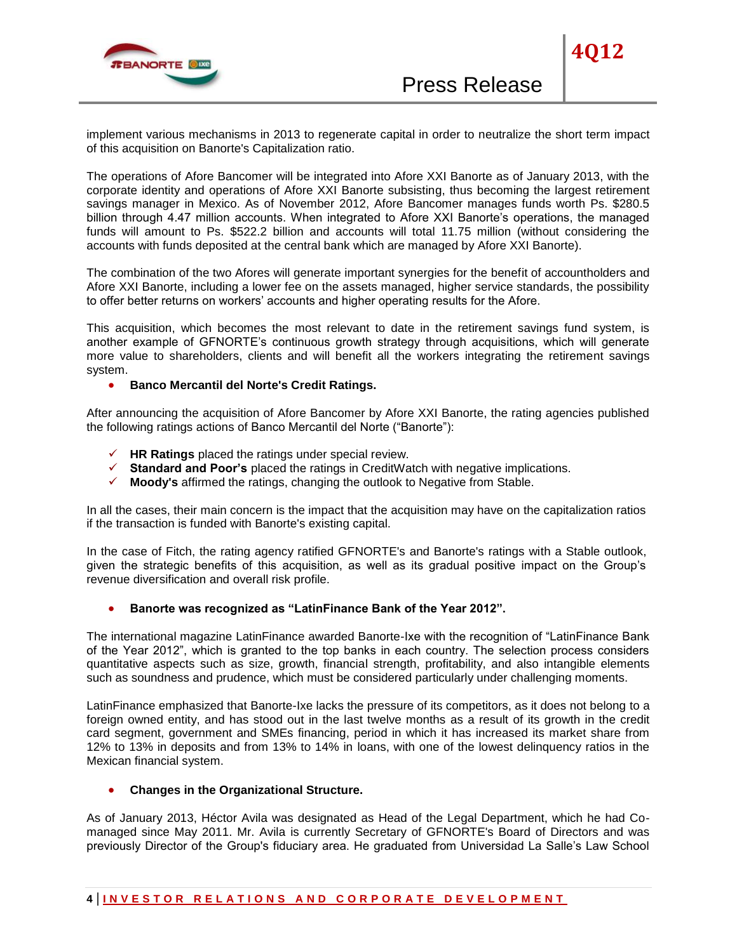

implement various mechanisms in 2013 to regenerate capital in order to neutralize the short term impact of this acquisition on Banorte's Capitalization ratio.

The operations of Afore Bancomer will be integrated into Afore XXI Banorte as of January 2013, with the corporate identity and operations of Afore XXI Banorte subsisting, thus becoming the largest retirement savings manager in Mexico. As of November 2012, Afore Bancomer manages funds worth Ps. \$280.5 billion through 4.47 million accounts. When integrated to Afore XXI Banorte's operations, the managed funds will amount to Ps. \$522.2 billion and accounts will total 11.75 million (without considering the accounts with funds deposited at the central bank which are managed by Afore XXI Banorte).

The combination of the two Afores will generate important synergies for the benefit of accountholders and Afore XXI Banorte, including a lower fee on the assets managed, higher service standards, the possibility to offer better returns on workers' accounts and higher operating results for the Afore.

This acquisition, which becomes the most relevant to date in the retirement savings fund system, is another example of GFNORTE's continuous growth strategy through acquisitions, which will generate more value to shareholders, clients and will benefit all the workers integrating the retirement savings system.

# **• Banco Mercantil del Norte's Credit Ratings.**

After announcing the acquisition of Afore Bancomer by Afore XXI Banorte, the rating agencies published the following ratings actions of Banco Mercantil del Norte ("Banorte"):

- **HR Ratings** placed the ratings under special review.
- **Standard and Poor's** placed the ratings in CreditWatch with negative implications.
- **Moody's** affirmed the ratings, changing the outlook to Negative from Stable.

In all the cases, their main concern is the impact that the acquisition may have on the capitalization ratios if the transaction is funded with Banorte's existing capital.

In the case of Fitch, the rating agency ratified GFNORTE's and Banorte's ratings with a Stable outlook, given the strategic benefits of this acquisition, as well as its gradual positive impact on the Group's revenue diversification and overall risk profile.

### **Banorte was recognized as "LatinFinance Bank of the Year 2012".**

The international magazine LatinFinance awarded Banorte-Ixe with the recognition of "LatinFinance Bank of the Year 2012", which is granted to the top banks in each country. The selection process considers quantitative aspects such as size, growth, financial strength, profitability, and also intangible elements such as soundness and prudence, which must be considered particularly under challenging moments.

LatinFinance emphasized that Banorte-Ixe lacks the pressure of its competitors, as it does not belong to a foreign owned entity, and has stood out in the last twelve months as a result of its growth in the credit card segment, government and SMEs financing, period in which it has increased its market share from 12% to 13% in deposits and from 13% to 14% in loans, with one of the lowest delinquency ratios in the Mexican financial system.

# **Changes in the Organizational Structure.**

As of January 2013, Héctor Avila was designated as Head of the Legal Department, which he had Comanaged since May 2011. Mr. Avila is currently Secretary of GFNORTE's Board of Directors and was previously Director of the Group's fiduciary area. He graduated from Universidad La Salle's Law School